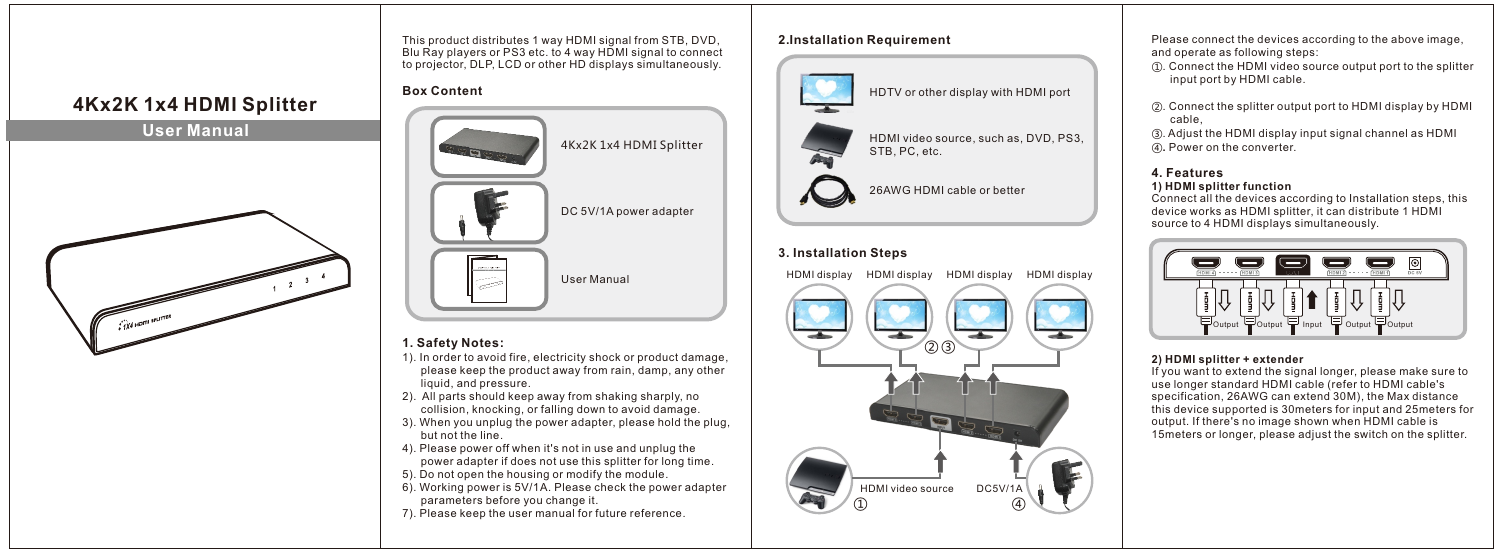



This product distributes 1 way HDMI signal from STB, DVD, Blu Ray players or PS3 etc. to 4 way HDMI signal to connect to projector, DLP, LCD or other HD displays simultaneously.

## **Box Content**



### **1. Safety Notes:**

- 1). In order to avoid fire, electricity shock or product damage, please keep the product away from rain, damp, any other liquid, and pressure.
- 2). All parts should keep away from shaking sharply, no collision, knocking, or falling down to avoid damage.
- 3). When you unplug the power adapter, please hold the plug, but not the line.
- 4). Please power off when it's not in use and unplug the power adapter if does not use this splitter for long time.
- 5). Do not open the housing or modify the module.
- 6). Working power is 5V/1A. Please check the power adapter parameters before you change it.
- 7). Please keep the user manual for future reference.

### **2. Installation Requirement**



HDMI video source, such as, DVD, PS3, STB, PC, etc.

26AWG HDMI cable or better

### **3. Installation Steps**

HDMI display HDMI display HDMI display HDMI display



Please connect the devices according to the above image, and operate as following steps:

- ①.Connect the HDMI video source output port to the splitter input port by HDMI cable.
- ②.Connect the splitter output port to HDMI display by HDMI cable,
- ③. Adjust the HDMI display input signal channel as HDMI ④**.** Power on the converter.

# **4.Features**

#### **1)HDMI splitter function**

Connect all the devices according to Installation steps, this device works as HDMI splitter, it can distribute 1 HDMI source to 4 HDMI displays simultaneously.



#### **2)HDMI splitter + extender**

If you want to extend the signal longer, please make sure to use longer standard HDMI cable (refer to HDMI cable's specification, 26AWG can extend 30M), the Max distance this device supported is 30meters for input and 25meters for output. If there's no image shown when HDMI cable is 15meters or longer, please adjust the switch on the splitter.